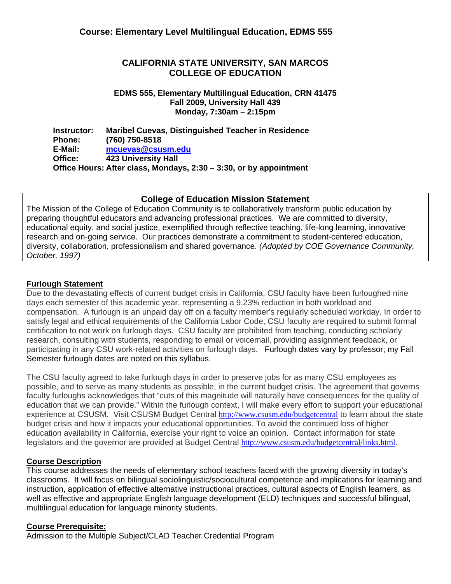# **CALIFORNIA STATE UNIVERSITY, SAN MARCOS COLLEGE OF EDUCATION**

**EDMS 555, Elementary Multilingual Education, CRN 41475 Fall 2009, University Hall 439 Monday, 7:30am – 2:15pm** 

**Instructor: Phone: E-Mail: Office: Maribel Cuevas, Distinguished Teacher in Residence (760) 750-8518 mcuevas@csusm.edu 423 University Hall Office Hours: After class, Mondays, 2:30 – 3:30, or by appointment** 

# **College of Education Mission Statement**

The Mission of the College of Education Community is to collaboratively transform public education by preparing thoughtful educators and advancing professional practices. We are committed to diversity, educational equity, and social justice, exemplified through reflective teaching, life-long learning, innovative research and on-going service. Our practices demonstrate a commitment to student-centered education, diversity, collaboration, professionalism and shared governance. *(Adopted by COE Governance Community, October, 1997)*

# **Furlough Statement**

Due to the devastating effects of current budget crisis in California, CSU faculty have been furloughed nine days each semester of this academic year, representing a 9.23% reduction in both workload and compensation. A furlough is an unpaid day off on a faculty member's regularly scheduled workday. In order to satisfy legal and ethical requirements of the California Labor Code, CSU faculty are required to submit formal certification to not work on furlough days. CSU faculty are prohibited from teaching, conducting scholarly research, consulting with students, responding to email or voicemail, providing assignment feedback, or participating in any CSU work-related activities on furlough days. Furlough dates vary by professor; my Fall Semester furlough dates are noted on this syllabus.

The CSU faculty agreed to take furlough days in order to preserve jobs for as many CSU employees as possible, and to serve as many students as possible, in the current budget crisis. The agreement that governs faculty furloughs acknowledges that "cuts of this magnitude will naturally have consequences for the quality of education that we can provide." Within the furlough context, I will make every effort to support your educational experience at CSUSM. Visit CSUSM Budget Central http://www.csusm.edu/budgetcentral to learn about the state budget crisis and how it impacts your educational opportunities. To avoid the continued loss of higher education availability in California, exercise your right to voice an opinion. Contact information for state legislators and the governor are provided at Budget Central http://www.csusm.edu/budgetcentral/links.html.

# **Course Description**

 instruction, application of effective alternative instructional practices, cultural aspects of English learners, as This course addresses the needs of elementary school teachers faced with the growing diversity in today's classrooms. It will focus on bilingual sociolinguistic/sociocultural competence and implications for learning and well as effective and appropriate English language development (ELD) techniques and successful bilingual, multilingual education for language minority students.

# **Course Prerequisite:**

Admission to the Multiple Subject/CLAD Teacher Credential Program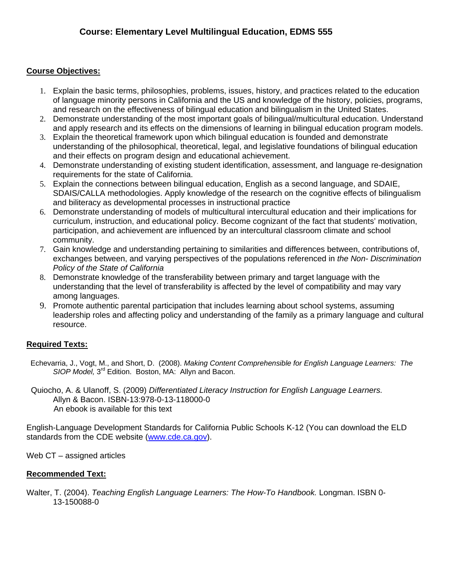# **Course Objectives:**

- and research on the effectiveness of bilingual education and bilingualism in the United States. 1. Explain the basic terms, philosophies, problems, issues, history, and practices related to the education of language minority persons in California and the US and knowledge of the history, policies, programs,
- and apply research and its effects on the dimensions of learning in bilingual education program models. 2. Demonstrate understanding of the most important goals of bilingual/multicultural education. Understand
- and their effects on program design and educational achievement. 3. Explain the theoretical framework upon which bilingual education is founded and demonstrate understanding of the philosophical, theoretical, legal, and legislative foundations of bilingual education
- requirements for the state of California. 4. Demonstrate understanding of existing student identification, assessment, and language re-designation
- and biliteracy as developmental processes in instructional practice 5. Explain the connections between bilingual education, English as a second language, and SDAIE, SDAIS/CALLA methodologies. Apply knowledge of the research on the cognitive effects of bilingualism
- community. 6. Demonstrate understanding of models of multicultural intercultural education and their implications for curriculum, instruction, and educational policy. Become cognizant of the fact that students' motivation, participation, and achievement are influenced by an intercultural classroom climate and school
- *Policy of the State of California* 7. Gain knowledge and understanding pertaining to similarities and differences between, contributions of, exchanges between, and varying perspectives of the populations referenced in *the Non- Discrimination*
- among languages. 8. Demonstrate knowledge of the transferability between primary and target language with the understanding that the level of transferability is affected by the level of compatibility and may vary
- resource. 9. Promote authentic parental participation that includes learning about school systems, assuming leadership roles and affecting policy and understanding of the family as a primary language and cultural

# **Required Texts:**

 Echevarria, J., Vogt, M., and Short, D. (2008). *Making Content Comprehensible for English Language Learners: The SIOP Model,* 3rd Edition. Boston, MA: Allyn and Bacon.

Quiocho, A. & Ulanoff, S. (2009) *Differentiated Literacy Instruction for English Language Learners.* Allyn & Bacon. ISBN-13:978-0-13-118000-0 An ebook is available for this text

English-Language Development Standards for California Public Schools K-12 (You can download the ELD standards from the CDE website (www.cde.ca.gov).

Web CT – assigned articles

# **Recommended Text:**

Walter, T. (2004). *Teaching English Language Learners: The How-To Handbook.* Longman. ISBN 0- 13-150088-0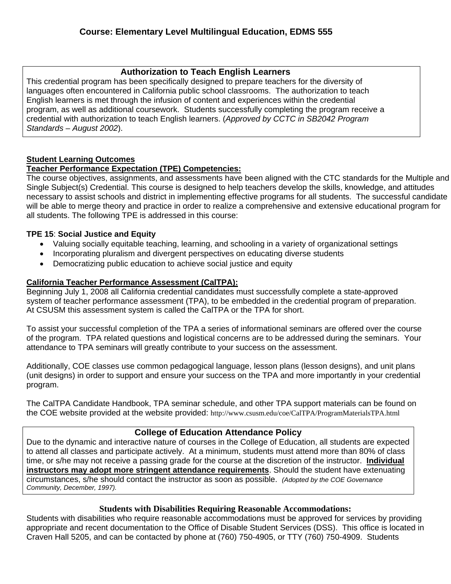# **Authorization to Teach English Learners**

This credential program has been specifically designed to prepare teachers for the diversity of languages often encountered in California public school classrooms. The authorization to teach English learners is met through the infusion of content and experiences within the credential program, as well as additional coursework. Students successfully completing the program receive a credential with authorization to teach English learners. (*Approved by CCTC in SB2042 Program Standards – August 2002*).

# **Student Learning Outcomes**

# **Teacher Performance Expectation (TPE) Competencies:**

The course objectives, assignments, and assessments have been aligned with the CTC standards for the Multiple and Single Subject(s) Credential. This course is designed to help teachers develop the skills, knowledge, and attitudes necessary to assist schools and district in implementing effective programs for all students. The successful candidate will be able to merge theory and practice in order to realize a comprehensive and extensive educational program for all students. The following TPE is addressed in this course:

# **TPE 15**: **Social Justice and Equity**

- Valuing socially equitable teaching, learning, and schooling in a variety of organizational settings
- Incorporating pluralism and divergent perspectives on educating diverse students
- Democratizing public education to achieve social justice and equity

# **California Teacher Performance Assessment (CalTPA):**

system of teacher performance assessment (TPA), to be embedded in the credential program of preparation.<br>At CSUSM this assessment system is called the CalTPA or the TPA for short. Beginning July 1, 2008 all California credential candidates must successfully complete a state-approved

To assist your successful completion of the TPA a series of informational seminars are offered over the course of the program. TPA related questions and logistical concerns are to be addressed during the seminars. Your attendance to TPA seminars will greatly contribute to your success on the assessment.

Additionally, COE classes use common pedagogical language, lesson plans (lesson designs), and unit plans (unit designs) in order to support and ensure your success on the TPA and more importantly in your credential program.

The CalTPA Candidate Handbook, TPA seminar schedule, and other TPA support materials can be found on the COE website provided at the website provided: http://www.csusm.edu/coe/CalTPA/ProgramMaterialsTPA.html

# **College of Education Attendance Policy**

 circumstances, s/he should contact the instructor as soon as possible. *(Adopted by the COE Governance*  Due to the dynamic and interactive nature of courses in the College of Education, all students are expected to attend all classes and participate actively. At a minimum, students must attend more than 80% of class time, or s/he may not receive a passing grade for the course at the discretion of the instructor. **Individual instructors may adopt more stringent attendance requirements**. Should the student have extenuating *Community, December, 1997).* 

# **Students with Disabilities Requiring Reasonable Accommodations:**

Students with disabilities who require reasonable accommodations must be approved for services by providing appropriate and recent documentation to the Office of Disable Student Services (DSS). This office is located in Craven Hall 5205, and can be contacted by phone at (760) 750-4905, or TTY (760) 750-4909. Students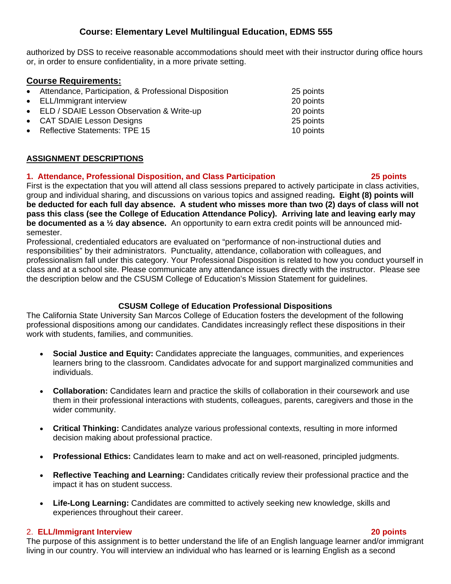authorized by DSS to receive reasonable accommodations should meet with their instructor during office hours or, in order to ensure confidentiality, in a more private setting.

# **Course Requirements:**

- Attendance, Participation, & Professional Disposition 25 points
- ELL/Immigrant interview 20 points
- ELD / SDAIE Lesson Observation & Write-up 20 points
- CAT SDAIE Lesson Designs 25 points 25 points
- **Properties Reflective Statements: TPE 15** 10 points

#### **ASSIGNMENT DESCRIPTIONS**

# **1. Attendance, Professional Disposition, and Class Participation 25 points**

First is the expectation that you will attend all class sessions prepared to actively participate in class activities, group and individual sharing, and discussions on various topics and assigned reading**. Eight (8) points will be deducted for each full day absence. A student who misses more than two (2) days of class will not pass this class (see the College of Education Attendance Policy). Arriving late and leaving early may be documented as a ½ day absence.** An opportunity to earn extra credit points will be announced midsemester.

 the description below and the CSUSM College of Education's Mission Statement for guidelines. Professional, credentialed educators are evaluated on "performance of non-instructional duties and responsibilities" by their administrators. Punctuality, attendance, collaboration with colleagues, and professionalism fall under this category. Your Professional Disposition is related to how you conduct yourself in class and at a school site. Please communicate any attendance issues directly with the instructor. Please see

# **CSUSM College of Education Professional Dispositions**

The California State University San Marcos College of Education fosters the development of the following professional dispositions among our candidates. Candidates increasingly reflect these dispositions in their work with students, families, and communities.

- **Social Justice and Equity:** Candidates appreciate the languages, communities, and experiences learners bring to the classroom. Candidates advocate for and support marginalized communities and individuals.
- **Collaboration:** Candidates learn and practice the skills of collaboration in their coursework and use them in their professional interactions with students, colleagues, parents, caregivers and those in the wider community.
- **Critical Thinking:** Candidates analyze various professional contexts, resulting in more informed decision making about professional practice.
- **Professional Ethics:** Candidates learn to make and act on well-reasoned, principled judgments.
- **Reflective Teaching and Learning:** Candidates critically review their professional practice and the impact it has on student success.
- experiences throughout their career. **Life-Long Learning:** Candidates are committed to actively seeking new knowledge, skills and

# 2. **ELL/Immigrant Interview 20 points**

The purpose of this assignment is to better understand the life of an English language learner and/or immigrant living in our country. You will interview an individual who has learned or is learning English as a second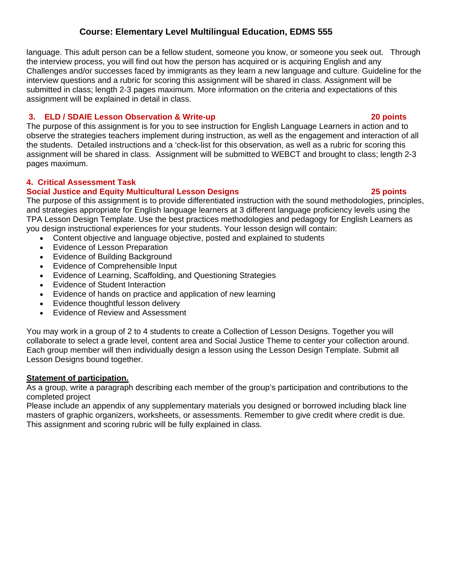language. This adult person can be a fellow student, someone you know, or someone you seek out. Through the interview process, you will find out how the person has acquired or is acquiring English and any Challenges and/or successes faced by immigrants as they learn a new language and culture. Guideline for the interview questions and a rubric for scoring this assignment will be shared in class. Assignment will be submitted in class; length 2-3 pages maximum. More information on the criteria and expectations of this assignment will be explained in detail in class.

#### $\mathbf{3}$ . **3. ELD / SDAIE Lesson Observation & Write-up 20 points**

The purpose of this assignment is for you to see instruction for English Language Learners in action and to observe the strategies teachers implement during instruction, as well as the engagement and interaction of all the students. Detailed instructions and a 'check-list for this observation, as well as a rubric for scoring this assignment will be shared in class. Assignment will be submitted to WEBCT and brought to class; length 2-3 pages maximum.

# **4. Critical Assessment Task**

# **Social Justice and Equity Multicultural Lesson Designs 25 points**

The purpose of this assignment is to provide differentiated instruction with the sound methodologies, principles, and strategies appropriate for English language learners at 3 different language proficiency levels using the TPA Lesson Design Template. Use the best practices methodologies and pedagogy for English Learners as you design instructional experiences for your students. Your lesson design will contain:

- Content objective and language objective, posted and explained to students
- Evidence of Lesson Preparation
- Evidence of Building Background
- Evidence of Comprehensible Input
- Evidence of Learning, Scaffolding, and Questioning Strategies
- Evidence of Student Interaction
- Evidence of hands on practice and application of new learning
- Evidence thoughtful lesson delivery
- Evidence of Review and Assessment

You may work in a group of 2 to 4 students to create a Collection of Lesson Designs. Together you will collaborate to select a grade level, content area and Social Justice Theme to center your collection around. Each group member will then individually design a lesson using the Lesson Design Template. Submit all Lesson Designs bound together.

# **Statement of participation.**

As a group, write a paragraph describing each member of the group's participation and contributions to the completed project

 This assignment and scoring rubric will be fully explained in class. Please include an appendix of any supplementary materials you designed or borrowed including black line masters of graphic organizers, worksheets, or assessments. Remember to give credit where credit is due.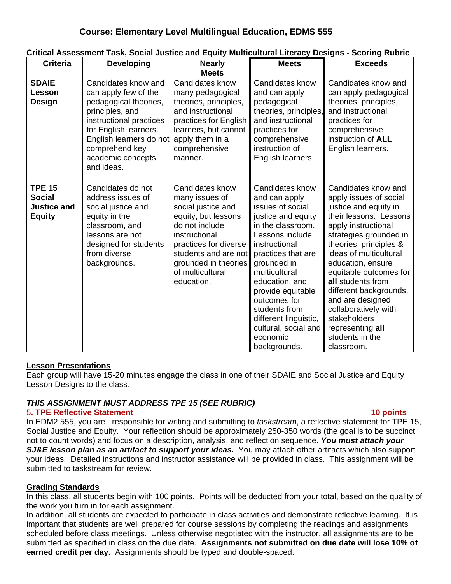| <b>Criteria</b>                                                | <b>Developing</b>                                                                                                                                                                                                           | <b>Nearly</b><br><b>Meets</b>                                                                                                                                                                                                | <b>Meets</b>                                                                                                                                                                                                                                                                                                                                   | <b>Exceeds</b>                                                                                                                                                                                                                                                                                                                                                                                                       |
|----------------------------------------------------------------|-----------------------------------------------------------------------------------------------------------------------------------------------------------------------------------------------------------------------------|------------------------------------------------------------------------------------------------------------------------------------------------------------------------------------------------------------------------------|------------------------------------------------------------------------------------------------------------------------------------------------------------------------------------------------------------------------------------------------------------------------------------------------------------------------------------------------|----------------------------------------------------------------------------------------------------------------------------------------------------------------------------------------------------------------------------------------------------------------------------------------------------------------------------------------------------------------------------------------------------------------------|
| <b>SDAIE</b><br><b>Lesson</b><br>Design                        | Candidates know and<br>can apply few of the<br>pedagogical theories,<br>principles, and<br>instructional practices<br>for English learners.<br>English learners do not<br>comprehend key<br>academic concepts<br>and ideas. | Candidates know<br>many pedagogical<br>theories, principles,<br>and instructional<br>practices for English<br>learners, but cannot<br>apply them in a<br>comprehensive<br>manner.                                            | Candidates know<br>and can apply<br>pedagogical<br>theories, principles,<br>and instructional<br>practices for<br>comprehensive<br>instruction of<br>English learners.                                                                                                                                                                         | Candidates know and<br>can apply pedagogical<br>theories, principles,<br>and instructional<br>practices for<br>comprehensive<br>instruction of ALL<br>English learners.                                                                                                                                                                                                                                              |
| <b>TPE 15</b><br><b>Social</b><br>Justice and<br><b>Equity</b> | Candidates do not<br>address issues of<br>social justice and<br>equity in the<br>classroom, and<br>lessons are not<br>designed for students<br>from diverse<br>backgrounds.                                                 | Candidates know<br>many issues of<br>social justice and<br>equity, but lessons<br>do not include<br>instructional<br>practices for diverse<br>students and are not<br>grounded in theories<br>of multicultural<br>education. | Candidates know<br>and can apply<br>issues of social<br>justice and equity<br>in the classroom.<br>Lessons include<br>instructional<br>practices that are<br>grounded in<br>multicultural<br>education, and<br>provide equitable<br>outcomes for<br>students from<br>different linguistic,<br>cultural, social and<br>economic<br>backgrounds. | Candidates know and<br>apply issues of social<br>justice and equity in<br>their lessons. Lessons<br>apply instructional<br>strategies grounded in<br>theories, principles &<br>ideas of multicultural<br>education, ensure<br>equitable outcomes for<br>all students from<br>different backgrounds,<br>and are designed<br>collaboratively with<br>stakeholders<br>representing all<br>students in the<br>classroom. |

# **Critical Assessment Task, Social Justice and Equity Multicultural Literacy Designs - Scoring Rubric**

# **Lesson Presentations**

Each group will have 15-20 minutes engage the class in one of their SDAIE and Social Justice and Equity Lesson Designs to the class*.* 

# *THIS ASSIGNMENT MUST ADDRESS TPE 15 (SEE RUBRIC)*

#### 5**. TPE Reflective Statement 10 points**

In EDM2 555, you are responsible for writing and submitting to *taskstream*, a reflective statement for TPE 15, Social Justice and Equity. Your reflection should be approximately 250-350 words (the goal is to be succinct not to count words) and focus on a description, analysis, and reflection sequence. *You must attach your*  **SJ&E lesson plan as an artifact to support your ideas.** You may attach other artifacts which also support your ideas. Detailed instructions and instructor assistance will be provided in class. This assignment will be submitted to taskstream for review.

# **Grading Standards**

In this class, all students begin with 100 points. Points will be deducted from your total, based on the quality of the work you turn in for each assignment.

 submitted as specified in class on the due date. **Assignments not submitted on due date will lose 10% of**  In addition, all students are expected to participate in class activities and demonstrate reflective learning. It is important that students are well prepared for course sessions by completing the readings and assignments scheduled before class meetings. Unless otherwise negotiated with the instructor, all assignments are to be **earned credit per day.** Assignments should be typed and double-spaced.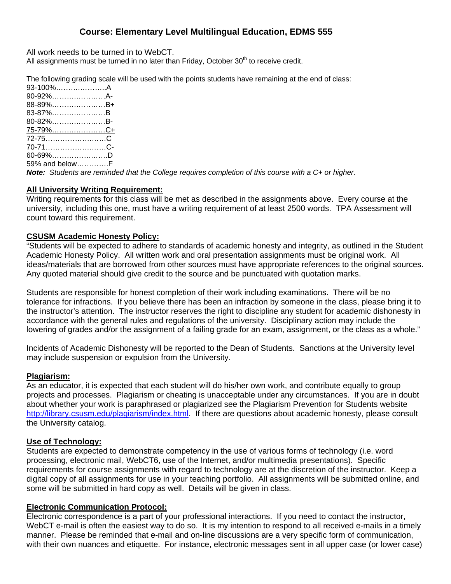All work needs to be turned in to WebCT.

All assignments must be turned in no later than Friday, October  $30<sup>th</sup>$  to receive credit.

The following grading scale will be used with the points students have remaining at the end of class:

| 90-92%A-<br>88-89%B+<br>83-87%B<br>80-82%B-<br>75-7 <u>9%C+</u><br>72-75C<br>70-71C-<br>$60 - 69\%$ D<br>59% and belowF | 93-100%A |  |
|-------------------------------------------------------------------------------------------------------------------------|----------|--|
|                                                                                                                         |          |  |
|                                                                                                                         |          |  |
|                                                                                                                         |          |  |
|                                                                                                                         |          |  |
|                                                                                                                         |          |  |
|                                                                                                                         |          |  |
|                                                                                                                         |          |  |
|                                                                                                                         |          |  |
|                                                                                                                         |          |  |

*Note: Students are reminded that the College requires completion of this course with a C+ or higher.* 

# **All University Writing Requirement:**

Writing requirements for this class will be met as described in the assignments above. Every course at the university, including this one, must have a writing requirement of at least 2500 words. TPA Assessment will count toward this requirement.

#### **CSUSM Academic Honesty Policy:**

"Students will be expected to adhere to standards of academic honesty and integrity, as outlined in the Student Academic Honesty Policy. All written work and oral presentation assignments must be original work. All ideas/materials that are borrowed from other sources must have appropriate references to the original sources. Any quoted material should give credit to the source and be punctuated with quotation marks.

Students are responsible for honest completion of their work including examinations. There will be no tolerance for infractions. If you believe there has been an infraction by someone in the class, please bring it to the instructor's attention. The instructor reserves the right to discipline any student for academic dishonesty in accordance with the general rules and regulations of the university. Disciplinary action may include the lowering of grades and/or the assignment of a failing grade for an exam, assignment, or the class as a whole."

Incidents of Academic Dishonesty will be reported to the Dean of Students. Sanctions at the University level may include suspension or expulsion from the University.

#### **Plagiarism:**

As an educator, it is expected that each student will do his/her own work, and contribute equally to group projects and processes. Plagiarism or cheating is unacceptable under any circumstances. If you are in doubt about whether your work is paraphrased or plagiarized see the Plagiarism Prevention for Students website http://library.csusm.edu/plagiarism/index.html. If there are questions about academic honesty, please consult the University catalog.

#### **Use of Technology:**

Students are expected to demonstrate competency in the use of various forms of technology (i.e. word processing, electronic mail, WebCT6, use of the Internet, and/or multimedia presentations). Specific requirements for course assignments with regard to technology are at the discretion of the instructor. Keep a digital copy of all assignments for use in your teaching portfolio. All assignments will be submitted online, and some will be submitted in hard copy as well. Details will be given in class.

#### **Electronic Communication Protocol:**

Electronic correspondence is a part of your professional interactions. If you need to contact the instructor, WebCT e-mail is often the easiest way to do so. It is my intention to respond to all received e-mails in a timely manner. Please be reminded that e-mail and on-line discussions are a very specific form of communication, with their own nuances and etiquette. For instance, electronic messages sent in all upper case (or lower case)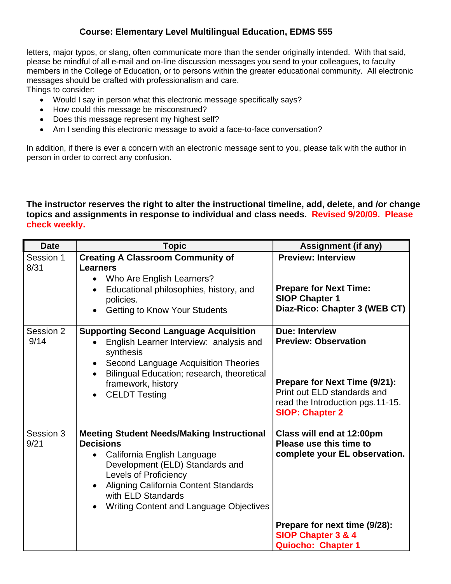letters, major typos, or slang, often communicate more than the sender originally intended. With that said, please be mindful of all e-mail and on-line discussion messages you send to your colleagues, to faculty members in the College of Education, or to persons within the greater educational community. All electronic messages should be crafted with professionalism and care.

Things to consider:

- Would I say in person what this electronic message specifically says?
- How could this message be misconstrued?
- Does this message represent my highest self?
- Am I sending this electronic message to avoid a face-to-face conversation?

In addition, if there is ever a concern with an electronic message sent to you, please talk with the author in person in order to correct any confusion.

# **The instructor reserves the right to alter the instructional timeline, add, delete, and /or change topics and assignments in response to individual and class needs. Revised 9/20/09. Please check weekly.**

| <b>Date</b>       | <b>Topic</b>                                                                                                                                                                                                                                                                      | <b>Assignment (if any)</b>                                                                                                                                                         |
|-------------------|-----------------------------------------------------------------------------------------------------------------------------------------------------------------------------------------------------------------------------------------------------------------------------------|------------------------------------------------------------------------------------------------------------------------------------------------------------------------------------|
| Session 1<br>8/31 | <b>Creating A Classroom Community of</b><br><b>Learners</b><br>Who Are English Learners?<br>$\bullet$<br>Educational philosophies, history, and<br>policies.<br><b>Getting to Know Your Students</b>                                                                              | <b>Preview: Interview</b><br><b>Prepare for Next Time:</b><br><b>SIOP Chapter 1</b><br>Diaz-Rico: Chapter 3 (WEB CT)                                                               |
| Session 2<br>9/14 | <b>Supporting Second Language Acquisition</b><br>English Learner Interview: analysis and<br>synthesis<br>Second Language Acquisition Theories<br>Bilingual Education; research, theoretical<br>framework, history<br><b>CELDT Testing</b>                                         | <b>Due: Interview</b><br><b>Preview: Observation</b><br>Prepare for Next Time (9/21):<br>Print out ELD standards and<br>read the Introduction pgs.11-15.<br><b>SIOP: Chapter 2</b> |
| Session 3<br>9/21 | <b>Meeting Student Needs/Making Instructional</b><br><b>Decisions</b><br>California English Language<br>Development (ELD) Standards and<br><b>Levels of Proficiency</b><br>Aligning California Content Standards<br>with ELD Standards<br>Writing Content and Language Objectives | Class will end at 12:00pm<br>Please use this time to<br>complete your EL observation.<br>Prepare for next time (9/28):<br>SIOP Chapter 3 & 4<br>Quiocho: Chapter 1                 |